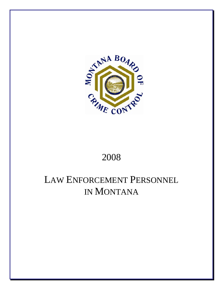

## 2008

# LAW ENFORCEMENT PERSONNEL IN MONTANA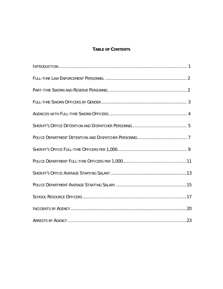## **TABLE OF CONTENTS**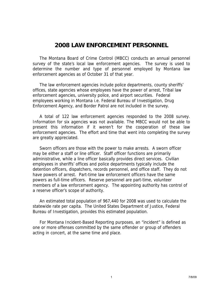## **2008 LAW ENFORCEMENT PERSONNEL**

 The Montana Board of Crime Control (MBCC) conducts an annual personnel survey of the state's local law enforcement agencies. The survey is used to determine the number and type of personnel employed by Montana law enforcement agencies as of October 31 of that year.

 The law enforcement agencies include police departments, county sheriffs' offices, state agencies whose employees have the power of arrest, Tribal law enforcement agencies, university police, and airport securities. Federal employees working in Montana i.e. Federal Bureau of Investigation, Drug Enforcement Agency, and Border Patrol are not included in the survey.

 A total of 122 law enforcement agencies responded to the 2008 survey. Information for six agencies was not available. The MBCC would not be able to present this information if it weren't for the cooperation of these law enforcement agencies. The effort and time that went into completing the survey are greatly appreciated.

 Sworn officers are those with the power to make arrests. A sworn officer may be either a staff or line officer. Staff officer functions are primarily administrative, while a line officer basically provides direct services. Civilian employees in sheriffs' offices and police departments typically include the detention officers, dispatchers, records personnel, and office staff. They do not have powers of arrest. Part-time law enforcement officers have the same powers as full-time officers. Reserve personnel are part-time, volunteer members of a law enforcement agency. The appointing authority has control of a reserve officer's scope of authority.

 An estimated total population of 967,440 for 2008 was used to calculate the statewide rate per capita. The United States Department of Justice, Federal Bureau of Investigation, provides this estimated population.

 For Montana Incident-Based Reporting purposes, an "incident" is defined as one or more offenses committed by the same offender or group of offenders acting in concert, at the same time and place.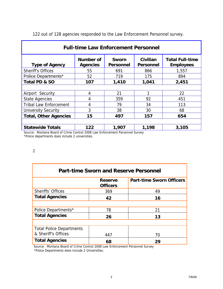| <b>Full-time Law Enforcement Personnel</b>                                                              |                              |                                  |                              |                                            |  |  |
|---------------------------------------------------------------------------------------------------------|------------------------------|----------------------------------|------------------------------|--------------------------------------------|--|--|
| <b>Type of Agency</b>                                                                                   | Number of<br><b>Agencies</b> | <b>Sworn</b><br><b>Personnel</b> | Civilian<br><b>Personnel</b> | <b>Total Full-time</b><br><b>Employees</b> |  |  |
| <b>Sheriff's Offices</b>                                                                                | 55                           | 691                              | 866                          | 1,557                                      |  |  |
| <b>Police Departments*</b>                                                                              | 52                           | 719                              | 175                          | 894                                        |  |  |
| Total PD & SO                                                                                           | 107                          | 1,410                            | 1,041                        | 2,451                                      |  |  |
|                                                                                                         |                              |                                  |                              |                                            |  |  |
| Airport Security                                                                                        | 4                            | 21                               |                              | 22                                         |  |  |
| <b>State Agencies</b>                                                                                   | 4                            | 359                              | 92                           | 451                                        |  |  |
| <b>Tribal Law Enforcement</b>                                                                           | 4                            | 79                               | 34                           | 113                                        |  |  |
| <b>University Security</b>                                                                              | 3                            | 38                               | 30                           | 68                                         |  |  |
| <b>Total, Other Agencies</b>                                                                            | 15                           | 497                              | 157                          | 654                                        |  |  |
|                                                                                                         |                              |                                  |                              |                                            |  |  |
| <b>Statewide Totals</b><br>Source: Montana Roard of Crime Control 2008 Law Enforcement Personnel Survey | 122                          | 1,907                            | 1,198                        | 3,105                                      |  |  |

122 out of 128 agencies responded to the Law Enforcement Personnel survey.

 Source: Montana Board of Crime Control 2008 Law Enforcement Personnel Survey \*Police departments does include 2 universities.

2

| <b>Part-time Sworn and Reserve Personnel</b> |                                   |                                 |  |  |  |  |  |
|----------------------------------------------|-----------------------------------|---------------------------------|--|--|--|--|--|
|                                              | <b>Reserve</b><br><b>Officers</b> | <b>Part-time Sworn Officers</b> |  |  |  |  |  |
| <b>Sheriffs' Offices</b>                     | 369                               | 49                              |  |  |  |  |  |
| <b>Total Agencies</b>                        | 42                                | 16                              |  |  |  |  |  |
|                                              |                                   |                                 |  |  |  |  |  |
| Police Departments*                          | 78                                | 21                              |  |  |  |  |  |
| <b>Total Agencies</b>                        | 26                                | 13                              |  |  |  |  |  |
|                                              |                                   |                                 |  |  |  |  |  |
| <b>Total Police Departments</b>              |                                   |                                 |  |  |  |  |  |
| & Sheriff's Offices                          | 447                               | 70                              |  |  |  |  |  |
| <b>Total Agencies</b>                        | 68                                | 29                              |  |  |  |  |  |

 Source: Montana Board of Crime Control 2008 Law Enforcement Personnel Survey \*Police Departments does include 2 Universities.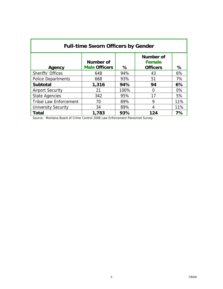| <b>Full-time Sworn Officers by Gender</b>           |                                   |      |                                               |      |  |  |  |
|-----------------------------------------------------|-----------------------------------|------|-----------------------------------------------|------|--|--|--|
| Agency                                              | Number of<br><b>Male Officers</b> | ℅    | Number of<br><b>Female</b><br><b>Officers</b> | $\%$ |  |  |  |
| <b>Sheriffs' Offices</b>                            | 648                               | 94%  | 43                                            | 6%   |  |  |  |
| <b>Police Departments</b>                           | 668                               | 93%  | 51                                            | 7%   |  |  |  |
| <b>Subtotal</b>                                     | 1,316                             | 94%  | 94                                            | 6%   |  |  |  |
| <b>Airport Security</b>                             | 21                                | 100% | 0                                             | 0%   |  |  |  |
| <b>State Agencies</b>                               | 342                               | 95%  | 17                                            | 5%   |  |  |  |
| <b>Tribal Law Enforcement</b>                       | 70                                | 89%  | 9                                             | 11%  |  |  |  |
| 89%<br>11%<br><b>University Security</b><br>34<br>4 |                                   |      |                                               |      |  |  |  |
| <b>Total</b>                                        | 1,783                             | 93%  | 124                                           | 7%   |  |  |  |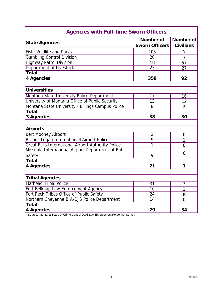| <b>Agencies with Full-time Sworn Officers</b>             |                                           |                                      |  |  |  |  |  |
|-----------------------------------------------------------|-------------------------------------------|--------------------------------------|--|--|--|--|--|
| <b>State Agencies</b>                                     | <b>Number of</b><br><b>Sworn Officers</b> | <b>Number</b> of<br><b>Civilians</b> |  |  |  |  |  |
| Fish, Wildlife and Parks                                  | 105                                       | 5                                    |  |  |  |  |  |
| <b>Gambling Control Division</b>                          | $\overline{20}$                           | 3                                    |  |  |  |  |  |
| <b>Highway Patrol Division</b>                            | $\overline{211}$                          | 57                                   |  |  |  |  |  |
| Department of Livestock                                   | 23                                        | 27                                   |  |  |  |  |  |
| <b>Total</b>                                              |                                           |                                      |  |  |  |  |  |
| 4 Agencies                                                | 359                                       | 92                                   |  |  |  |  |  |
|                                                           |                                           |                                      |  |  |  |  |  |
| <b>Universities</b>                                       |                                           |                                      |  |  |  |  |  |
| Montana State University Police Department                | 17                                        | 16                                   |  |  |  |  |  |
| University of Montana Office of Public Security           | 13                                        | 12                                   |  |  |  |  |  |
| Montana State University - Billings Campus Police         | 8                                         | $\overline{2}$                       |  |  |  |  |  |
| <b>Total</b>                                              |                                           |                                      |  |  |  |  |  |
| 3 Agencies                                                | 38                                        | 30                                   |  |  |  |  |  |
|                                                           |                                           |                                      |  |  |  |  |  |
| <b>Airports</b>                                           |                                           |                                      |  |  |  |  |  |
| <b>Bert Mooney Airport</b>                                | $\overline{2}$                            | $\overline{0}$                       |  |  |  |  |  |
| <b>Billings Logan Internationall Airport Police</b>       | 9                                         | 1                                    |  |  |  |  |  |
| <b>Great Falls International Airport Authority Police</b> | 1                                         | $\overline{0}$                       |  |  |  |  |  |
| Missoula International Airport Department of Public       |                                           | $\overline{0}$                       |  |  |  |  |  |
| Safety                                                    | 9                                         |                                      |  |  |  |  |  |
| <b>Total</b>                                              |                                           |                                      |  |  |  |  |  |
| 4 Agencies                                                | 21                                        | 1                                    |  |  |  |  |  |
|                                                           |                                           |                                      |  |  |  |  |  |
| <b>Tribal Agencies</b>                                    |                                           |                                      |  |  |  |  |  |
| <b>Flathead Tribal Police</b>                             | 31                                        | 3                                    |  |  |  |  |  |
| Fort Belknap Law Enforcement Agency                       | $\overline{10}$                           | 1                                    |  |  |  |  |  |
| Fort Peck Tribes Office of Public Safety                  | 24                                        | 30                                   |  |  |  |  |  |
| Northern Cheyenne BIA-OJS Police Department               | 14                                        | $\overline{0}$                       |  |  |  |  |  |
| <b>Total</b>                                              |                                           |                                      |  |  |  |  |  |
| <b>4 Agencies</b>                                         | 79                                        | 34                                   |  |  |  |  |  |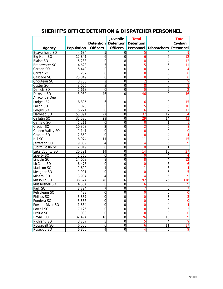|                      |            |                     | <b>Juvenile</b>            | <b>Total</b>   |                              | <b>Total</b>    |
|----------------------|------------|---------------------|----------------------------|----------------|------------------------------|-----------------|
|                      |            | <b>Detention</b>    | <b>Detention</b> Detention |                |                              | Civilian        |
| Agency               | Population | <b>Officers</b>     | <b>Officers</b>            |                | <b>Personnel Dispatchers</b> | Personnel       |
| <b>Beaverhead SO</b> | 4,684      | $\overline{5}$      | $\mathbf 0$                | 5              | 4                            |                 |
| <b>Big Horn SO</b>   | 12,841     | 6                   | 0                          | 6              | 6                            | 12              |
| <b>Blaine SO</b>     | 5,238      | 0                   | $\overline{8}$             | 8              | 4                            | 12              |
| <b>Broadwater SO</b> | 4,628      | 5                   | 0                          | $\overline{5}$ | 6                            | 11              |
| Carbon SO            | 5,443      | $\mathbf 0$         | $\overline{0}$             | 0              | 4                            | 4               |
| Carter SO            | 1,262      | 0                   | 0                          | 0              | 0                            | 0               |
| Cascade SO           | 23,049     | 0                   | $\mathbf 0$                | 0              | 0                            | 0               |
| Chouteau SO          | 3,738      | $\overline{2}$      | 0                          | $\overline{2}$ | 7                            | 9               |
| Custer SO            | 3,076      | 8                   | $\overline{0}$             | 8              | 0                            | 8               |
| Daniels SO           | 1,613      | 0                   | $\overline{0}$             | $\overline{0}$ | $\overline{2}$               | 2               |
| Dawson <sub>SO</sub> | 3,932      | 46                  | $\overline{0}$             | 46             | 0                            | 46              |
| Anaconda-Deer        |            |                     |                            |                |                              |                 |
| Lodge LEA            | 8,805      | 6                   | 0                          | 6              | 9                            | 15              |
| <b>Fallon SO</b>     | 1,078      | 5                   | 0                          | 5              | 5                            | 10              |
| Fergus SO            | 5,221      | 6                   | 0                          | 6              | 7                            | 13              |
| <b>Flathead SO</b>   | 53,891     | 27                  | 10                         | 37             | 17                           | 54              |
| Gallatin SO          | 37,530     | 29                  | 0                          | 29             | 14                           | 43              |
| Garfield SO          | 1,211      | 0                   | 0                          | 0              | 1                            |                 |
| Glacier SO           | 10,303     | $\overline{c}$      | 0                          | $\overline{2}$ | 6                            | 8               |
| Golden Valley SO     | 1,141      | 0                   | 0                          | 0              | 0                            | $\mathbf 0$     |
| Granite SO           | 2,859      | 0                   | 0                          | 0              | 4                            | 4               |
| <b>Hill SO</b>       | 6,974      | 11                  | 0                          | 11             | 4                            | 15              |
| Jefferson SO         | 9,839      | 4                   | 0                          | 4              | 5                            | 9               |
| Judith Basin SO      | 2,019      | 0                   | 0                          | 0              | 1                            | 1               |
| Lake County SO       | 20,721     | 14                  | $\overline{0}$             | $\overline{4}$ | $\overline{13}$              | 27              |
| Liberty SO           | 1,760      | $\mathbf 0$         | $\overline{0}$             | 0              | 4                            | 4               |
| Lincoln SO           | 14,053     | 8                   | 0                          | 8              | 4                            | 12              |
| McCone SO            | 6,478      | 0                   | $\overline{0}$             | 0              | 6                            | 6               |
| Madison SO           | 1,699      | 1                   | $\mathbf 0$                |                | 3                            | 4               |
| Meagher SO           | 1,901      | 0                   | $\mathbf 0$                | 0              | 5                            | 5               |
| Mineral SO           | 3,904      | 4                   | 0                          | 4              | 5                            | 9               |
| Missoula SO          | 38,674     | 76                  | 16                         | 92             | 26                           | 118             |
| Musselshell SO       | 4,504      | 6                   | $\mathbf 0$                | 6              | 3                            | 9               |
| Park SO              | 8,724      | 7                   | $\mathbf 0$                | 7              | $\overline{0}$               |                 |
| Petroleum SO         | 433        | 0                   | $\mathbf 0$                | 0              | 0                            | 0               |
| Phillips SO          | 3,887      | 0                   | $\mathbf 0$                | 0              | 3                            | 3               |
| Pondera SO           | 3,386      | $\overline{0}$      | $\boldsymbol{0}$           | 0              | $\overline{0}$               | 0               |
| Powder River SO      | 1,684      | Ō                   | $\overline{0}$             | 0              | 4                            | $\overline{4}$  |
| Powell SO            | 7,126      | $\mathsf{O}\xspace$ | $\mathbf 0$                | 0              | 5                            | $\overline{5}$  |
| Prairie SO           | 1,030      | $\mathbf 0$         | 0                          | 0              | $\mathbf 0$                  | 0               |
| Ravalli SO           | 32,494     | $\overline{18}$     | $\overline{8}$             | 26             | $\overline{13}$              | 39              |
| <b>Richland SO</b>   | 3,757      | 5                   | $\overline{0}$             | 5              | 4                            | $\vert 9 \vert$ |
| Roosevelt SO         | 6,506      | $\boldsymbol{6}$    | $\overline{0}$             | 6              | 11                           | 17              |
| Rosebud SO           | 6,855      | $\sqrt{4}$          | $\overline{0}$             | 4              | 5                            | $\overline{9}$  |

## **SHERIFF'S OFFICE DETENTION & DISPATCHER PERSONNEL**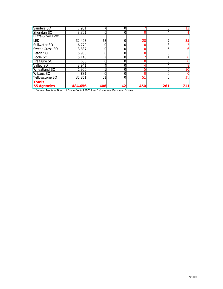| Sanders SO              | 7,901   |     |    |     | 5   | 12 <sub>1</sub> |
|-------------------------|---------|-----|----|-----|-----|-----------------|
| Sheridan SO             | 3.301   |     |    |     |     |                 |
| <b>Butte-Silver Bow</b> |         |     |    |     |     |                 |
| LED                     | 32,493  | 28  |    | 28  |     | 35              |
| Stillwater SO           | 6,779   |     |    |     |     |                 |
| <b>Sweet Grass SO</b>   | 3,837   |     |    |     | h   |                 |
| Teton SO                | 5,985   |     |    |     | ኅ   |                 |
| Toole SO                | 5,140   | ⌒   |    |     |     |                 |
| Treasure SO             | 630     |     |    |     |     |                 |
| Valley SO               | 3,941   |     |    |     |     |                 |
| Wheatland SO            | 1,956   | 5   |    |     | 5   | 10              |
| Wibaux SO               | 881     |     |    |     |     |                 |
| Yellowstone SO          | 31,861  | 51  |    | 51  |     | 51              |
| <b>Totals</b>           |         |     |    |     |     |                 |
| <b>55 Agencies</b>      | 484,656 | 408 | 42 | 450 | 261 | 711             |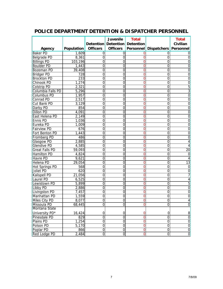|                       |                    |                 | <b>Juvenile</b>               | <b>Total</b>   |                                     | <b>Total</b>    |
|-----------------------|--------------------|-----------------|-------------------------------|----------------|-------------------------------------|-----------------|
|                       |                    |                 | Detention Detention Detention |                |                                     | Civilian        |
| Agency                | Population         | <b>Officers</b> | <b>Officers</b>               |                | Personnel   Dispatchers   Personnel |                 |
| <b>Baker PD</b>       | 1,609              | $\overline{0}$  | 0                             |                | 0                                   |                 |
| <b>Belgrade PD</b>    | 8,361              | 0               | 0                             | O              | O                                   | 0               |
| <b>Billings PD</b>    | 103,196            | $\mathbf 0$     | $\Omega$                      | 0              | 0                                   | 0               |
| <b>Boulder PD</b>     | 1,443              | 0               | $\Omega$                      |                | 0                                   | 0               |
| <b>Bozeman PD</b>     | 39,408             | $\overline{0}$  | $\overline{0}$                | 0              | $\mathbf 0$                         | 0               |
| <b>Bridger PD</b>     | $\overline{728}$   | $\overline{0}$  | $\overline{0}$                | 0              | 0                                   | 0               |
| <b>Brockton PD</b>    | 233                | $\overline{0}$  | $\overline{0}$                | 0              | 0                                   | 0               |
| Chinook PD            | 1,274              | $\mathbf 0$     | $\overline{0}$                | 0              | $\mathbf 0$                         | 0               |
| <b>Colstrip PD</b>    | 2,321              | $\overline{0}$  | 0                             | 0              | $\overline{0}$                      | $\overline{5}$  |
| Columbia Falls PD     | 5,296              | $\overline{0}$  | $\overline{0}$                | 0              | 0                                   | 3               |
| Columbus PD           | $\overline{1,}957$ | $\overline{0}$  | $\overline{0}$                | 0              | 0                                   | $\mathbf 0$     |
| Conrad PD             | 2,517              | $\overline{0}$  | $\overline{0}$                | 0              | 0                                   | $\overline{0}$  |
| Cut Bank PD           | 3,129              | $\mathbf 0$     | 0                             | 0              | 0                                   | 0               |
| Darby PD              | 854                | $\mathbf 0$     | 0                             | 0              | 0                                   | 0               |
| <b>Dillon PD</b>      | 4,091              | $\mathbf 0$     | $\mathbf 0$                   | 0              | $\mathbf 0$                         | $\mathbf 0$     |
| East Helena PD        | 2,149              | $\mathbf 0$     | $\overline{0}$                | O              | $\mathbf 0$                         | $\mathbf 0$     |
| <b>Ennis PD</b>       | 1,036              | $\overline{0}$  | $\overline{0}$                | 0              | $\overline{0}$                      | $\overline{0}$  |
| Eureka PD             | 1,009              | $\overline{0}$  | $\overline{0}$                | 0              | $\overline{0}$                      | $\mathbf 0$     |
| <b>Fairview PD</b>    | 676                | $\mathbf 0$     | 0                             | 0              | 0                                   | 0               |
| Fort Benton PD        | 1,443              | $\overline{0}$  | $\mathbf 0$                   | 0              | 0                                   | 0               |
| <b>Fromberg PD</b>    | 486                | $\mathbf 0$     | $\mathbf 0$                   | 0              | $\mathbf 0$                         | 0               |
| <b>Glasgow PD</b>     | 2,885              | 0               | 0                             | 0              | 0                                   |                 |
| <b>Glendive PD</b>    | 4,585              | $\overline{0}$  | 0                             | O              | 0                                   | 4               |
| <b>Great Falls PD</b> | 59,093             | $\overline{0}$  | 0                             |                | 0                                   | 20              |
| <b>Hamilton PD</b>    | 4,824              | $\mathbf 0$     | 0                             |                | 0                                   | 0               |
| Havre PD              | 9,621              | 0               | 0                             |                | 0                                   |                 |
| Helena PD             | 29,054             | $\mathbf 0$     | 0                             | O              | 0                                   | $\overline{13}$ |
| <b>Hot Springs PD</b> | 568                | 0               | $\overline{0}$                | 0              | 0                                   | $\Omega$        |
| Joliet PD             | 620                | 0               | $\overline{0}$                |                | 0                                   | 0               |
| Kalispell PD          | 21,056             | $\overline{0}$  | $\overline{0}$                | 0              | $\mathbf 0$                         |                 |
| Laurel PD             | 6,525              | $\overline{0}$  | $\overline{0}$                | 0              | 0                                   |                 |
| Lewistown PD          | 5,899              | $\overline{0}$  | $\mathbf 0$                   |                | 0                                   | 5               |
| Libby PD              | 2,886              | $\mathbf 0$     | $\mathbf 0$                   | 0              | $\mathbf 0$                         | 0               |
| Livingston PD         | 7,457              | $\mathbf 0$     | $\mathbf 0$                   | 0              | $\mathbf 0$                         | 0               |
| Manhattan PD          | 1,559              | $\mathbf 0$     | 0                             |                | 0                                   | $\mathbf 0$     |
| Miles City PD         | 8,077              | $\overline{0}$  | $\boldsymbol{0}$              | $\mathbf 0$    | $\pmb{0}$                           | $\overline{4}$  |
| Missoula PD           | 68,445             | $\overline{0}$  | $\overline{0}$                | $\overline{0}$ | $\overline{0}$                      | $\overline{0}$  |
| Montana State         |                    |                 |                               |                |                                     |                 |
| University PD*        | 16,424             | $\mathbf 0$     | 0                             | 0              | 0                                   | 8               |
| Pinesdale PD          | 829                | $\mathbf 0$     | $\overline{0}$                | 0              | $\overline{0}$                      | $\overline{0}$  |
| Plains PD             | 1,254              | $\mathbf 0$     | $\mathbf 0$                   | 0              | $\mathbf 0$                         | $\overline{0}$  |
| Polson PD             | 5,170              | $\overline{0}$  | $\overline{0}$                | 0              | $\overline{0}$                      | $\overline{0}$  |
| Poplar PD             | 866                | $\overline{0}$  | $\overline{0}$                | 0              | $\overline{0}$                      | $\overline{0}$  |
| Red Lodge PD          | 2,484              | O               | $\overline{0}$                | 0              | $\mbox{O}$                          | $\overline{0}$  |

## **POLICE DEPARTMENT DETENTION & DISPATCHER PERSONNEL**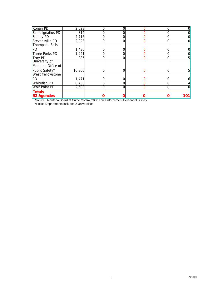| Ronan PD                            | 2,028  | 0 |   |     |
|-------------------------------------|--------|---|---|-----|
| Saint Ignatius PD                   | 814    |   |   |     |
| Sidney PD                           | 4,716  |   |   |     |
| Stevensville PD                     | 2,023  |   | 0 |     |
| <b>Thompson Falls</b>               |        |   |   |     |
| PD                                  | 1,436  |   |   |     |
| Three Forks PD                      | 1,941  | O | N |     |
| <b>Troy PD</b>                      | 985    |   |   |     |
| University of                       |        |   |   |     |
| Montana Office of                   |        |   |   |     |
| Public Safety*                      | 16,800 |   |   |     |
| <b>West Yellowstone</b>             |        |   |   |     |
| PD                                  | 1,471  | 0 |   |     |
| <b>Whitefish PD</b>                 | 8,433  |   |   |     |
| <b>Wolf Point PD</b>                | 2,508  |   | 0 |     |
| <b>Totals</b><br><b>52 Agencies</b> |        |   |   | 101 |

 Source: Montana Board of Crime Control 2008 Law Enforcement Personnel Survey \*Police Departments includes 2 Universities.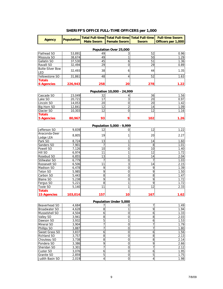### **SHERIFF'S OFFICE FULL-TIME OFFICERS per 1,000**

| <b>Agency</b>                      | <b>Population</b> | <b>Male Sworn</b> | Total Full-time   Total Full-time   Total Full-time  <br><b>Female Sworn</b> | <b>Sworn</b> | <b>Full-time Sworn</b><br>Officers per 1,000 |  |  |  |
|------------------------------------|-------------------|-------------------|------------------------------------------------------------------------------|--------------|----------------------------------------------|--|--|--|
| Population Over 25,000             |                   |                   |                                                                              |              |                                              |  |  |  |
| <b>Flathead SO</b>                 | 53.891            | 49                |                                                                              | 52           | 0.96                                         |  |  |  |
| Missoula SO                        | 38,674            | 49                |                                                                              | 50           | 1.29                                         |  |  |  |
| Gallatin SO                        | 37,530            | 45                | n                                                                            | 51           | 1.36                                         |  |  |  |
| Ravalli SO                         | 32,494            | 29                |                                                                              | 29           | 0.89                                         |  |  |  |
| Butte-Silver Bow<br><b>ILED</b>    | 32,493            | 38                | ь                                                                            | 44           | 1.35                                         |  |  |  |
| Yellowstone SO                     | 31,861            | 48                |                                                                              | 52           | 1.63                                         |  |  |  |
| <b>Totals</b><br><b>6 Agencies</b> | 226,943           | 258               | 20                                                                           | 278          | 1.22                                         |  |  |  |

#### **Population 10,000 - 24,999**

| Cascade SO        | 23,049 | っっ<br>ےں   | 36  | 1.56 |
|-------------------|--------|------------|-----|------|
| Lake SO           | 20,721 |            | 20  | 0.97 |
| Lincoln SO        | 14,053 | <b>20l</b> | 20  | 1.42 |
| Big Horn SO       | 12,841 |            |     | 1.09 |
| Glacier SO        | 10,303 |            |     | 1.16 |
| <b>Totals</b>     |        |            |     |      |
| <b>5 Agencies</b> | 80,967 | 93         | 102 | 1.26 |

#### **Population 5,000 - 9,999**

| Jefferson SO       | 9.839   | 12  |    | 12  | 1.22 |
|--------------------|---------|-----|----|-----|------|
| Anaconda-Deer      |         | 19  |    |     |      |
| Lodge LEA          | 8,805   |     |    | 20  | 2.27 |
| Park SO            | 8,724   | 13  |    | 14  | 1.60 |
| Sanders SO         | 7,901   |     |    | 8   | 1.01 |
| Powell SO          | 7,126   | 10  |    | 10  | 1.40 |
| <b>Hill SO</b>     | 6,974   | 11  |    | 12  | 1.72 |
| Rosebud SO         | 6,855   | 13  |    | 14  | 2.04 |
| Stillwater SO      | 6,779   |     |    |     | 1.03 |
| Roosevelt SO       | 6,506   | 11  | 3  | 14  | 2.15 |
| <b>Madison SO</b>  | 6,478   | 9   | 0  | 9   | 1.39 |
| Teton SO           | 5,985   | 9   | 0  | 9   | 1.50 |
| Carbon SO          | 5,443   | 8   |    | 8   | 1.47 |
| <b>Blaine SO</b>   | 5,238   | 9   | ი  | 9   | 1.72 |
| Fergus SO          | 5,221   | 8   |    | 9   | 1.72 |
| Toole SO           | 5,140   | 11  |    | 12  | 2.33 |
| <b>Totals</b>      |         |     |    |     |      |
| <b>15 Agencies</b> | 103,014 | 157 | 10 | 167 | 1.62 |

#### **Population Under 5,000**

| Beaverhead SO        | 4,684 |  |   | 1.49 |
|----------------------|-------|--|---|------|
| <b>Broadwater SO</b> | 4,628 |  |   | 1.94 |
| Musselshell SO       | 4,504 |  |   | 1.33 |
| Valley SO            | 3,941 |  |   | 2.03 |
| Dawson SO            | 3,932 |  |   | 1.53 |
| Mineral SO           | 3,904 |  |   | 1.79 |
| Phillips SO          | 3,887 |  |   | 1.80 |
| Sweet Grass SO       | 3,837 |  |   | 1.56 |
| <b>Richland SO</b>   | 3,757 |  | 8 | 2.13 |
| Chouteau SO          | 3,738 |  |   | 2.14 |
| Pondera SO           | 3,386 |  | ∩ | 2.66 |
| Sheridan SO          | 3,301 |  |   | 2.12 |
| Custer SO            | 3,076 |  |   | 1.95 |
| <b>Granite SO</b>    | 2,859 |  |   | 1.75 |
| Judith Basin SO      | 2.019 |  |   | 1.98 |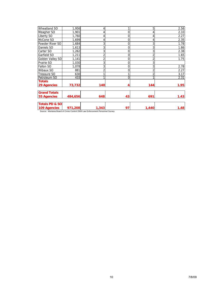| <b>Wheatland SO</b>       | 1,956   |       |    | 5              | 2.56 |
|---------------------------|---------|-------|----|----------------|------|
| Meagher SO                | 1,901   |       |    | 4              | 2.10 |
| Liberty SO                | 1,760   |       | 0  | 4              | 2.27 |
| McCone SO                 | 1,699   |       | 0  | 4              | 2.35 |
| Powder River SO           | 1,684   |       | 0  | 3              | 1.78 |
| Daniels SO                | 1,613   | 3     | 0  | 3              | 1.86 |
| Carter SO                 | 1,262   | 3     | 0  | 3              | 2.38 |
| Garfield SO               | 1,211   |       | 0  | 2              | 1.65 |
| Golden Valley SO          | 1,141   | c     | 0  | $\overline{2}$ | 1.75 |
| Prairie SO                | 1,030   | 3     | 0  | 3              |      |
| <b>Fallon SO</b>          | 1,078   | 3     | 0  | 3              | 2.78 |
| Wibaux SO                 | 881     |       | ი  | $\overline{2}$ | 2.27 |
| Treasure SO               | 630     |       |    | $\overline{2}$ | 3.17 |
| Petroleum SO              | 433     |       | ი  |                | 2.31 |
| <b>Totals</b>             |         |       |    |                |      |
| <b>29 Agencies</b>        | 73,732  | 140   |    | 144            | 1.95 |
|                           |         |       |    |                |      |
| <b>Grand Totals</b>       |         |       |    |                |      |
| 55 Agencies               | 484,656 | 648   | 43 | 691            | 1.43 |
| <b>Totals PD &amp; SO</b> |         |       |    |                |      |
| 109 Agencies              | 971,208 | 1,343 | 97 | 1,440          | 1.48 |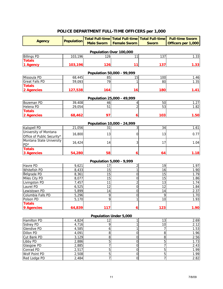## **POLICE DEPARTMENT FULL-TIME OFFICERS per 1,000**

| <b>Agency</b>              | <b>Population</b> |                   |                               | Total Full-time   Total Full-time   Total Full-time | <b>Full-time Sworn</b> |
|----------------------------|-------------------|-------------------|-------------------------------|-----------------------------------------------------|------------------------|
|                            |                   | <b>Male Sworn</b> | <b>Female Sworn</b>           | <b>Sworn</b>                                        | Officers per 1,000     |
|                            |                   |                   | Population Over 100,000       |                                                     |                        |
| <b>Billings PD</b>         | 103,196           | 126               | 11                            | 137                                                 | 1.33                   |
| <b>Totals</b>              |                   |                   |                               |                                                     |                        |
| 1 Agency                   | 103,196           | 126               | 11                            | 137                                                 | 1.33                   |
|                            |                   |                   |                               |                                                     |                        |
|                            |                   |                   | Population 50,000 - 99,999    |                                                     |                        |
| Missoula PD                | 68,445            | 85                | 15                            | 100                                                 | 1.46                   |
| <b>Great Falls PD</b>      | 59,093            | 79                | 1                             | 80                                                  | 1.35                   |
| <b>Totals</b>              |                   |                   |                               |                                                     |                        |
| 2 Agencies                 | 127,538           | 164               | 16                            | 180                                                 | 1.41                   |
|                            |                   |                   | Population 25,000 - 49,999    |                                                     |                        |
| Bozeman PD                 | 39,408            | 46                | 4                             | 50                                                  | 1.27                   |
| Helena PD                  | 29,054            | 51                | $\overline{2}$                | 53                                                  | 1.82                   |
| <b>Totals</b>              |                   |                   |                               |                                                     |                        |
| 2 Agencies                 | 68,462            | 97                | 6                             | 103                                                 | 1.50                   |
|                            |                   |                   |                               |                                                     |                        |
|                            |                   |                   | Population 10,000 - 24,999    |                                                     |                        |
| Kalispell PD               | 21,056            | 31                | 3                             | 34                                                  | 1.61                   |
| University of Montana      | 16,800            | 13                | 0                             | 13                                                  | 0.77                   |
| Office of Public Security* |                   |                   |                               |                                                     |                        |
| Montana State University   | 16,424            | 14                | 3                             | 17                                                  | 1.04                   |
| PD*                        |                   |                   |                               |                                                     |                        |
| <b>Totals</b>              |                   |                   |                               |                                                     |                        |
| <b>3 Agencies</b>          | 54,280            | 58                | 6                             | 64                                                  | 1.18                   |
|                            |                   |                   | Population 5,000 - 9,999      |                                                     |                        |
| Havre PD                   | 9,621             | 17                | $\overline{c}$                | 19                                                  | 1.97                   |
| Whitefish PD               | 8,433             | 15                | 1                             | 16                                                  | 1.90                   |
| Belgrade PD                | 8,361             | $\overline{15}$   | 0                             | 15                                                  | 1.79                   |
| Miles City PD              | 8,077             | 15                | 0                             | 15                                                  | 1.86                   |
| Livingston PD              | 7,457             | 11                | $\overline{c}$                | 13                                                  | 1.74                   |
| Laurel PD                  | 6,525             | 12                | $\mathbf 0$                   | 12                                                  | 1.84                   |
| Lewistown PD               | 5,899             | 14                | $\mathbf 0$                   | 14                                                  | 2.37                   |
| Columbia Falls PD          | 5,296             | 9                 | $\mathbf 0$                   | 9                                                   | 1.70                   |
| Polson PD                  | 5,170             | $\overline{9}$    | $\mathbf{1}$                  | 10                                                  | 1.93                   |
| <b>Totals</b>              |                   |                   |                               |                                                     |                        |
| 9 Agencies                 | 64,839            | 117               | 6                             | 123                                                 | 1.90                   |
|                            |                   |                   | <b>Population Under 5,000</b> |                                                     |                        |
| Hamilton PD                | 4,824             | 12                | 1                             | 13                                                  | 2.69                   |
| Sidney PD                  | 4,716             | 9                 | $\mathbf{1}$                  | 10                                                  | 2.12                   |
| Glendive PD                | 4,585             | 6                 | 1                             |                                                     | 1.53                   |
| Dillon PD                  | 4,091             | 8                 | $\boldsymbol{0}$              | 8                                                   | 1.96                   |
| Cut Bank PD                | 3,129             | 8                 | $\mathbf 0$                   | 8                                                   | 2.56                   |
| Libby PD                   | 2,886             | 5                 | $\mathbf 0$                   | 5                                                   | 1.73                   |
| Glasgow PD                 | 2,885             | 7                 | $\mathbf 0$                   | 7                                                   | 2.43                   |
| Conrad PD                  | 2,517             | 5                 | $\mathbf 0$                   | 5                                                   | 1.99                   |
| Wolf Point PD              | 2,508             | 5                 | $\overline{0}$                | 5                                                   | 1.99                   |
| Red Lodge PD               | 2,484             | $\overline{7}$    | $\mathbf 0$                   | $\overline{7}$                                      | 2.82                   |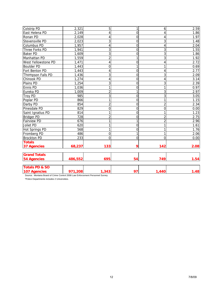| Colstrip PD               | 2,321            | 5              | 1              | 6              | 2.59 |
|---------------------------|------------------|----------------|----------------|----------------|------|
| East Helena PD            | 2,149            | 4              | $\mathbf 0$    | 4              | 1.86 |
| Ronan PD                  | 2,028            | 4              | $\overline{0}$ | 4              | 1.97 |
| Stevensville PD           | 2,023            | $\mathsf 3$    | $\mathbf 0$    | 3              | 1.48 |
| <b>Columbus PD</b>        | 1,957            | 4              | $\mathbf 0$    | 4              | 2.04 |
| Three Forks PD            | 1,941            | 3              | $\mathbf 0$    | 3              | 1.55 |
| <b>Baker PD</b>           | 1,609            | 3              | $\overline{0}$ | 3              | 1.86 |
| Manhattan PD              | 1,559            | $\overline{2}$ | 1              | 3              | 1.92 |
| West Yellowstone PD       | 1,471            | 4              | $\mathbf 0$    | 4              | 2.72 |
| <b>Boulder PD</b>         | 1,443            | $\overline{0}$ | $\overline{1}$ | 1              | 0.69 |
| Fort Benton PD            | 1,443            | 4              | $\mathbf 0$    | 4              | 2.77 |
| Thompson Falls PD         | 1,436            | 3              | O              | 3              | 2.09 |
| Chinook PD                | 1,274            | 4              | $\mathbf 0$    | 4              | 3.14 |
| Plains PD                 | 1,254            | 3              | $\overline{0}$ | 3              | 2.39 |
| Ennis PD                  | 1,036            | 1              | O              | 1              | 0.97 |
| Eureka PD                 | 1,009            | $\overline{2}$ | $\overline{1}$ | 3              | 2.97 |
| <b>Troy PD</b>            | 985              | 3              | $\mathbf 0$    | 3              | 3.05 |
| Poplar PD                 | 866              | 1              | $\overline{0}$ |                | 1.15 |
| Darby PD                  | 854              | $\overline{c}$ | $\mathbf 0$    | $\overline{2}$ | 2.34 |
| Pinesdale PD              | 829              | 0              | $\overline{0}$ | 0              | 0.00 |
| Saint Ignatius PD         | 814              | 1              | $\mathbf 0$    |                | 1.23 |
| <b>Bridger PD</b>         | $\overline{728}$ | $\overline{2}$ | O              | $\overline{2}$ | 2.75 |
| <b>Fairview PD</b>        | 676              | 1              | $\mathbf{1}$   | $\overline{2}$ | 2.96 |
| Joliet PD                 | 620              | 1              | $\mathbf 0$    |                | 1.61 |
| <b>Hot Springs PD</b>     | 568              | 1              | $\mathbf 0$    |                | 1.76 |
| Fromberg PD               | 486              | $\Omega$       | $\mathbf{1}$   | 1              | 2.06 |
| <b>Brockton PD</b>        | 233              | $\Omega$       | $\overline{0}$ | $\Omega$       | 0.00 |
| <b>Totals</b>             |                  |                |                |                |      |
| <b>37 Agencies</b>        | 68,237           | 133            | 9              | 142            | 2.08 |
| <b>Grand Totals</b>       |                  |                |                |                |      |
| <b>54 Agencies</b>        | 486,552          | 695            | 54             | 749            | 1.54 |
| <b>Totals PD &amp; SO</b> |                  |                |                |                |      |
| <b>107 Agencies</b>       | 971,208          | 1,343          | 97             | 1,440          | 1.48 |

\*Police Departments includes 2 Universities.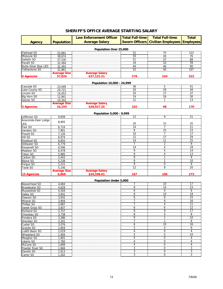## **SHERIFF'S OFFICE AVERAGE STARTING SALARY**

| <b>Agency</b><br><b>Flathead SO</b><br>Missoula SO<br>Gallatin SO | <b>Population</b><br>53,891<br>38,674<br>37,530<br>32,494 | <b>Average Salary</b><br>Population Over 25,000 | 52<br>50<br>51 | <b>Sworn Officers   Civilian Employees   Employees  </b><br>70<br>26 | 122<br>76 |
|-------------------------------------------------------------------|-----------------------------------------------------------|-------------------------------------------------|----------------|----------------------------------------------------------------------|-----------|
|                                                                   |                                                           |                                                 |                |                                                                      |           |
|                                                                   |                                                           |                                                 |                |                                                                      |           |
|                                                                   |                                                           |                                                 |                |                                                                      |           |
|                                                                   |                                                           |                                                 |                |                                                                      |           |
|                                                                   |                                                           |                                                 |                |                                                                      |           |
|                                                                   |                                                           |                                                 |                | 37                                                                   | 88        |
| Ravalli SO                                                        |                                                           |                                                 | 29             | 10                                                                   | 39        |
| <b>Butte-Silver Bow LED</b>                                       | 32,493                                                    |                                                 | 44             | 46                                                                   | 90        |
| Yellowstone SO                                                    | 31,861                                                    |                                                 | 52             | 55                                                                   | 107       |
|                                                                   | <b>Average Size</b>                                       | <b>Average Salary</b>                           |                |                                                                      |           |
| <b>6 Agencies</b>                                                 | 37,824                                                    | \$37,122.21                                     | 278            | 244                                                                  | 522       |
|                                                                   |                                                           |                                                 |                |                                                                      |           |
|                                                                   |                                                           | Population 10,000 - 24,999                      |                |                                                                      |           |
| Cascade SO                                                        | 23,049                                                    |                                                 | 36             | 5                                                                    | 41        |
| Lake County SO                                                    | 20,721                                                    |                                                 | 20             | 29                                                                   | 49        |
| Lincoln SO                                                        | 14,053                                                    |                                                 | 20             | 17                                                                   | 37        |
| Big Horn SO                                                       | 12,841                                                    |                                                 | 14             | 16                                                                   | 30        |
| Glacier SO                                                        | 10,303                                                    |                                                 | 12             |                                                                      | 13        |
|                                                                   | <b>Average Size</b>                                       | <b>Average Salary</b>                           |                |                                                                      |           |
| 5 Agencies                                                        | 16,193                                                    | \$38,927.20                                     | 102            | 68                                                                   | 170       |
|                                                                   |                                                           | Population 5,000 - 9,999                        |                |                                                                      |           |

|                     |                     | $1.9$ putation $9/999$        |     |     |     |
|---------------------|---------------------|-------------------------------|-----|-----|-----|
| Jefferson SO        | 9,839               |                               | 12  | a   | 21  |
| Anaconda-Deer Lodge |                     |                               |     |     |     |
| LEA                 | 8,805               |                               | 20  | 15  | 35  |
| Park SO             | 8,724               |                               | 14  |     | 21  |
| Sanders SO          | 7,901               |                               | 8   | 15  | 23  |
| Powell SO           | 7,126               |                               | 10  |     | 17  |
| Hill SO             | 6,974               |                               | 12  |     | 29  |
| Rosebud SO          | 6,855               |                               |     |     | 25  |
| Stillwater SO       | 6,779               |                               |     |     | Ο   |
| Roosevelt SO        | 6,506               |                               | 14  |     | 18  |
| Madison SO          | 6,478               |                               | a   | 5   | 14  |
| Teton SO            | 5,985               |                               |     |     | 13  |
| Carbon SO           | 5,443               |                               | 8   |     |     |
| <b>Blaine SO</b>    | 5,238               |                               |     |     | 10  |
| Fergus SO           | 5,221               |                               | n   |     | 9   |
| Toole SO            | 5,140               |                               | 12  | 8   | 20  |
|                     | <b>Average Size</b> |                               |     |     |     |
| 15 Agencies         | 6,868               | Average Salary<br>\$34,598.01 | 167 | 106 | 273 |

#### **Population Under 5,000**

| Beaverhead SO        | 4,684 |                                                                                                                       |         | 10       | 17 |
|----------------------|-------|-----------------------------------------------------------------------------------------------------------------------|---------|----------|----|
| <b>Broadwater SO</b> | 4,628 |                                                                                                                       | 9       | 14       | 23 |
| Musselshell SO       | 4,504 |                                                                                                                       | ь       | 0        | 6  |
| Valley SO            | 3,941 |                                                                                                                       | 8       | 10       | 18 |
| Dawson SO            | 3,932 |                                                                                                                       | b       | 9        | 15 |
| Mineral SO           | 3,904 |                                                                                                                       |         | 9        | 16 |
| Phillips SO          | 3,887 |                                                                                                                       |         | 4        | 11 |
| Sweet Grass SO       | 3,837 |                                                                                                                       | 6       | 6        | 12 |
| Richland SO          | 3,757 |                                                                                                                       | 8       | 9        | 17 |
| Chouteau SO          | 3,738 |                                                                                                                       | 8       | $\Omega$ | 8  |
| Pondera SO           | 3,386 |                                                                                                                       | 9       |          | 10 |
| Sheridan SO          | 3,301 |                                                                                                                       |         |          | 8  |
| Custer SO            | 3,076 |                                                                                                                       | n       | 10       | 16 |
| Granite SO           | 2,859 |                                                                                                                       | 5       | 4        | 9  |
| Judith Basin SO      | 2,019 |                                                                                                                       |         | 0        | 4  |
| Wheatland SO         | 1,956 |                                                                                                                       | 5       | 5        | 10 |
| Meagher SO           | 1,901 | <u> 1999 - Johann Harry Harry Harry Harry Harry Harry Harry Harry Harry Harry Harry Harry Harry Harry Harry Harry</u> |         | $\Omega$ | 4  |
| Liberty SO           | 1.760 |                                                                                                                       |         | 0        | 4  |
| McCone SO            | 1,699 |                                                                                                                       |         | $\Omega$ | 4  |
| Powder River SO      | 1,684 |                                                                                                                       | c<br>.5 | $\Omega$ | 3  |
| Daniels SO           | 1,613 |                                                                                                                       | ົ       | 0        | 3  |
| Carter SO            | 1,262 | <u> 1999 - Johann Harrison, mars ann an t-</u>                                                                        | 3       | $\Omega$ | 3  |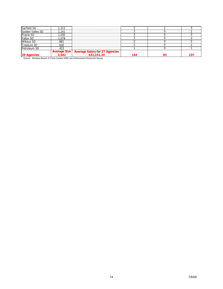| <b>29 Agencies</b> |                     | \$31,151.34<br>Attacher Medical Beautif Odine Organization February Beautiful Organization |  |  |
|--------------------|---------------------|--------------------------------------------------------------------------------------------|--|--|
|                    | <b>Average Size</b> | <b>Average Salary for 27 Agencies</b>                                                      |  |  |
| Petroleum SO       |                     |                                                                                            |  |  |
| Treasure SO        |                     |                                                                                            |  |  |
| Wibaux SO          | 88                  |                                                                                            |  |  |
| Fallon SO          |                     |                                                                                            |  |  |
| Prairie SO         |                     |                                                                                            |  |  |
| Golden Valley SO   |                     |                                                                                            |  |  |
| Garfield SO        |                     |                                                                                            |  |  |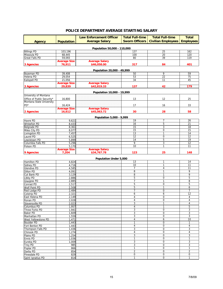| POLICE DEPARTMENT AVERAGE STARTING SALARY |  |  |
|-------------------------------------------|--|--|
|-------------------------------------------|--|--|

|                                   |                              | <b>Law Enforcement Officer</b> | <b>Total Full-time</b> | <b>Total Full-time</b>     | <b>Total</b>      |  |
|-----------------------------------|------------------------------|--------------------------------|------------------------|----------------------------|-------------------|--|
| <b>Agency</b>                     | <b>Population</b>            | <b>Average Salary</b>          | <b>Sworn Officers</b>  | <b>Civilian Employees</b>  | <b>Employees</b>  |  |
|                                   |                              |                                |                        |                            |                   |  |
|                                   |                              | Population 50,000 - 110,000    |                        |                            |                   |  |
| <b>Billings PD</b><br>Missoula PD | 103,196<br>68,445            |                                | 137<br>100             | 25<br>20                   | 162<br>120        |  |
| <b>Great Falls PD</b>             | 59,093                       |                                | 80                     | 39                         | 119               |  |
|                                   | <b>Average Size</b>          | <b>Average Salary</b>          |                        |                            |                   |  |
| 3 Agencies                        | 76,911                       | \$46,058.00                    | 317                    | 84                         | 401               |  |
|                                   |                              |                                |                        |                            |                   |  |
|                                   |                              | Population 20,000 - 49,999     |                        |                            |                   |  |
| Bozeman PD                        | 39.408                       |                                | 50                     | 9                          | 59                |  |
| Helena PD<br>Kalispell PD         | 29,054<br>21,056             |                                | 53<br>34               | $\overline{22}$<br>11      | 75<br>45          |  |
|                                   | <b>Average Size</b>          | <b>Average Salary</b>          |                        |                            |                   |  |
| <b>3 Agencies</b>                 | 29,839                       | \$42,819.33                    | 137                    | 42                         | 179               |  |
|                                   |                              |                                |                        |                            |                   |  |
| University of Montana             |                              | Population 10,000 - 19,999     |                        |                            |                   |  |
| Office of Public Security*        | 16,800                       |                                | 13                     | 12                         | 25                |  |
| Montana State University          |                              |                                |                        |                            |                   |  |
| PD*                               | 16,424                       |                                | 17                     | 16                         | 33                |  |
|                                   | <b>Average Size</b>          | <b>Average Salary</b>          |                        |                            |                   |  |
| 2 Agencies                        | 16,612                       | \$45,063.72                    | 30                     | 28                         | 58                |  |
|                                   |                              | Population 5,000 - 9,999       |                        |                            |                   |  |
| Havre PD                          | 9,621                        |                                | 19                     | 7                          | 26                |  |
| <b>Whitefish PD</b>               | 8,433                        |                                | 16                     | 5                          | $\overline{21}$   |  |
| Belgrade PD                       | 8,361                        |                                | 15                     | 3                          | 18                |  |
| Miles City PD                     | 8,077                        |                                | 15                     | 0                          | 15                |  |
| Livingston PD                     | 7,457                        |                                | 13                     | 1                          | 14                |  |
| Laurel PD                         | 6,525                        |                                | 12                     | $\mathbf 0$                | 12                |  |
| Lewistown PD                      | 5,899                        |                                | 14                     | 5                          | 19                |  |
| Columbia Falls PD<br>Polson PD    | 5,296                        |                                | 9<br>10                | 3<br>1                     | 12<br>11          |  |
|                                   | 5,170<br><b>Average Size</b> | <b>Average Salary</b>          |                        |                            |                   |  |
| 9 Agencies                        | 7,204                        | \$34,767.78                    | 123                    | 25                         | 148               |  |
|                                   |                              |                                |                        |                            |                   |  |
|                                   |                              | Population Under 5,000         |                        |                            |                   |  |
| Hamilton PD                       | 4,824                        |                                | 13                     | 1                          | 14                |  |
| Sidney PD<br><b>Glendive PD</b>   | 4,716                        |                                | 10<br>$\overline{7}$   | 1<br>4                     | 11<br>11          |  |
| <b>Dillon PD</b>                  | 4,585<br>4,091               |                                | 8                      | 1                          | 9                 |  |
| Cut Bank PD                       | 3,129                        |                                | 8                      | 1                          | 9                 |  |
| Libby PD                          | 2,886                        |                                | 5                      | $\mathbf 0$                | 5                 |  |
| Glasgow PD                        | 2,885                        |                                | $\overline{7}$         | 1                          | 8                 |  |
| Conrad PD                         | 2,517                        |                                | 5                      | 0                          | 5                 |  |
| <b>Wolf Point PD</b>              | 2,508                        |                                | 5                      | 1                          | 6                 |  |
| Red Lodge PD                      | 2,484                        |                                | $\overline{7}$         | 0                          | $\overline{7}$    |  |
| <b>Colstrip PD</b>                | 2,321                        |                                | 6                      | 6                          | 12                |  |
| East Helena PD                    | 2,149                        |                                | 4                      | 0                          | 4                 |  |
| Ronan PD                          | 2,028                        |                                | $\overline{4}$         | $\boldsymbol{0}$<br>1      | 4                 |  |
| Stevensville PD<br>Columbus PD    | 2,023<br>1,957               |                                | 3<br>$\overline{4}$    | 1                          | 4<br>5            |  |
| Three Forks PD                    | 1,941                        |                                | 3                      | $\mathbf 0$                | 3                 |  |
| <b>Baker PD</b>                   | 1,609                        |                                | 3                      | $\mathbf 0$                | 3                 |  |
| Manhattan PD                      | 1,559                        |                                | 3                      | $\mathbf 0$                | 3                 |  |
| West Yellowstone PD               | 1,471                        |                                | 4                      | 6                          | 10                |  |
| <b>Boulder PD</b>                 | 1,443                        |                                | $\mathbf{1}$           | $\mathbf 0$                | $\mathbf{1}$      |  |
| Fort Benton PD                    | 1,443                        |                                | $\overline{4}$         | 0                          | $\overline{4}$    |  |
| Thompson Falls PD                 | 1,436                        |                                | 3                      | $\mathbf 0$                | 3                 |  |
| Chinook PD                        | 1,274                        |                                | 4                      | 0                          | 4                 |  |
| Plains PD                         | 1,254                        |                                | 3                      | $\mathbf 0$                | 3                 |  |
| <b>Ennis PD</b><br>Eureka PD      | 1,036<br>1,009               |                                | $\mathbf{1}$<br>3      | $\mathbf 0$<br>$\mathbf 0$ | $\mathbf{1}$<br>3 |  |
| <b>Troy PD</b>                    | 985                          |                                | 3                      | $\mathbf 0$                | 3                 |  |
| Poplar PD                         | 866                          |                                | $\mathbf{1}$           | $\mathbf 0$                | $\mathbf{1}$      |  |
| Darby PD                          | 854                          |                                | $\overline{2}$         | $\mathbf 0$                | $\overline{2}$    |  |
| Pinesdale PD                      | 829                          |                                | 0                      | 0                          | 0                 |  |
| Saint Ignatius PD                 | 814                          |                                | $\mathbf{1}$           | $\mathbf 0$                | $\mathbf{1}$      |  |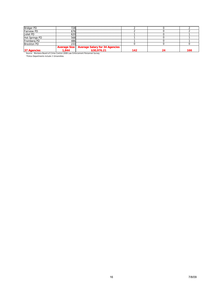| Fairview PD        |     |                                                                  |  |  |
|--------------------|-----|------------------------------------------------------------------|--|--|
| Inliet PD          |     |                                                                  |  |  |
| Hot Springs PD     |     |                                                                  |  |  |
| Fromberg PD        |     |                                                                  |  |  |
| <b>Brockton PD</b> | ~~~ |                                                                  |  |  |
|                    |     | Average Size Average Salary for 34 Agencies<br>1,844 \$30,976.21 |  |  |
| 37 Agencies        |     |                                                                  |  |  |

Source: Montana Board of Crime Control 2008 Law Enforcement Personnel Survey \*Police Departments include 2 Universities.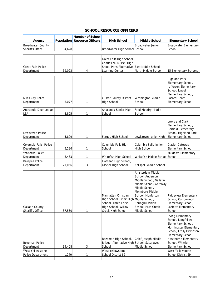#### **SCHOOL RESOURCE OFFICERS**

|                                              |        | <b>Number of School</b>             |                                                                                                                                  |                                                                                                                                                                                                                 |                                                                                                                                                                                                                                                            |
|----------------------------------------------|--------|-------------------------------------|----------------------------------------------------------------------------------------------------------------------------------|-----------------------------------------------------------------------------------------------------------------------------------------------------------------------------------------------------------------|------------------------------------------------------------------------------------------------------------------------------------------------------------------------------------------------------------------------------------------------------------|
| Agency                                       |        | <b>Population Resource Officers</b> | <b>High School</b>                                                                                                               | <b>Middle School</b>                                                                                                                                                                                            | <b>Elementary School</b>                                                                                                                                                                                                                                   |
| <b>Broadwater County</b><br>Sheriff's Office | 4,628  | 1                                   | Broadwater High School School                                                                                                    | <b>Broadwater Junior</b>                                                                                                                                                                                        | <b>Broadwater Elementary</b><br>School                                                                                                                                                                                                                     |
| <b>Great Falls Police</b><br>Department      | 59,093 | 4                                   | Great Falls High School,<br>Charles M. Russell High<br>Shool, Paris Alternative<br>Learning Center                               | East Middle School,<br>North Middle School                                                                                                                                                                      | 15 Elementary Schools                                                                                                                                                                                                                                      |
| Miles City Police<br>Department              | 8,077  | 1                                   | <b>Custer County District</b><br><b>High School</b>                                                                              | Washington Middle<br>School                                                                                                                                                                                     | <b>Highland Park</b><br>Elementary School,<br>Jefferson Elementary<br>School, Lincoln<br>Elementary School,<br>Sacred Heart<br><b>Elementary School</b>                                                                                                    |
| Anaconda-Deer Lodge<br>LEA                   | 8,805  | 1                                   | Anaconda Senior High<br>School                                                                                                   | Fred Moodry Middle<br>School                                                                                                                                                                                    |                                                                                                                                                                                                                                                            |
| <b>Lewistown Police</b><br>Department        | 5,899  | 1                                   | Fergus High School                                                                                                               | Lewistown Junior High                                                                                                                                                                                           | Lewis and Clark<br>Elementary School,<br>Garfield Elementary<br>School, Highland Park<br><b>Elementary School</b>                                                                                                                                          |
| Columbia Falls Police                        |        |                                     | Columbia Falls High                                                                                                              | Columbia Falls Junior                                                                                                                                                                                           | Glacier Gateway                                                                                                                                                                                                                                            |
| Department                                   | 5,296  | 1                                   | School                                                                                                                           | <b>High School</b>                                                                                                                                                                                              | <b>Elementary School</b>                                                                                                                                                                                                                                   |
| <b>Whitefish Police</b><br>Department        | 8,433  | 1                                   | Whitefish High School                                                                                                            | Whitefish Middle School School                                                                                                                                                                                  | Muldown Elementary                                                                                                                                                                                                                                         |
| Kalispell Police<br>Department               | 21,056 | 3                                   | Flathead High School,<br>Glacier High School                                                                                     | Kalispell Middle School                                                                                                                                                                                         |                                                                                                                                                                                                                                                            |
| <b>Gallatin County</b><br>Sheriff's Office   | 37,530 | 1                                   | Manhattan Christian<br>High School, Ophir High Middle School,<br>School, Three Forks<br>High School, Willow<br>Creek High School | Amsterdam Middle<br>School, Anderson<br>Middle School, Gallatin<br>Middle School, Gateway<br>Middle School,<br>Molmborg Middle<br>School, Monforton<br>Springhill Middle<br>School, Pass Creek<br>Middle School | <b>Ridgeview Elementary</b><br>School, Cottonwood<br>Elementary School,<br>LaMotte Elementary<br>School<br><b>Irving Elementary</b><br>School, Longfellow<br>Elementary School,<br>Morningstar Elementary<br>School, Emily Dickinson<br>Elementary School, |
| <b>Bozeman Police</b><br>Department          | 39,408 | 3                                   | Bozeman High School,<br>Bridger Alternative High School, Sacajawea<br>School                                                     | Chief Joseph Middle<br>Middle School                                                                                                                                                                            | Hawthorne Elementary<br>School, Whittier<br><b>Elementary School</b>                                                                                                                                                                                       |
| West Yellowstone<br><b>Police Department</b> | 1,240  | 1                                   | West Yellowstone<br>School District 69                                                                                           |                                                                                                                                                                                                                 | West Yellowstone<br>School District 69                                                                                                                                                                                                                     |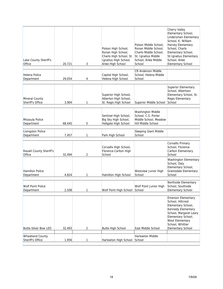| Lake County Sheriff's<br>Office             | 20,721 | 3 | Polson High School,<br>Ronan High School,<br>Charlo High School, St.<br>Ignatius High School,<br>Arlee High School | Polson Middle School,<br>Ronan Middle School,<br>Charlo Middle School,<br>St. Ignatius Middle<br>School, Arlee Middle<br>School | Cherry Valley<br>Elementary School,<br>Lindersman Elementary<br>School, K. William<br>Harvey Elementary<br>School, Charlo<br>Elementary School,<br>St. Ignatius Elementary<br>School, Arlee<br><b>Elementary School</b> |
|---------------------------------------------|--------|---|--------------------------------------------------------------------------------------------------------------------|---------------------------------------------------------------------------------------------------------------------------------|-------------------------------------------------------------------------------------------------------------------------------------------------------------------------------------------------------------------------|
| Helena Police<br>Department                 | 29,054 | 4 | Capital High School,<br>Helena High School                                                                         | <b>CR Anderson Middle</b><br>School, Helena Middle<br>School                                                                    |                                                                                                                                                                                                                         |
| Mineral County<br>Sheriff's Office          | 3,904  | 1 | Superior High School,<br>Alberton High School,<br>St. Regis High School                                            | Superior Middle School                                                                                                          | <b>Superior Elementary</b><br>School, Albertson<br>Elementary School, St.<br>Regis Elementary<br>School                                                                                                                 |
| Missoula Police<br>Department               | 68,445 | 5 | Sentinel High School,<br>Big Sky High School,<br>Hellgate High School                                              | <b>Washington Middle</b><br>School, C.S. Porter<br>Middle School, Meadow<br>Hill Middle School                                  |                                                                                                                                                                                                                         |
| <b>Livingston Police</b><br>Department      | 7,457  | 1 | Park High School                                                                                                   | Sleeping Giant Middle<br>School                                                                                                 |                                                                                                                                                                                                                         |
| Ravalli County Sheriff's<br>Office          | 32,494 | 2 | Corvallis High School,<br>Florence-Carlton High<br>School                                                          |                                                                                                                                 | Corvallis Primary<br>School, Florence-<br>Carlton Elementary<br>School                                                                                                                                                  |
| <b>Hamilton Police</b><br>Department        | 4,824  | 1 | Hamilton High School                                                                                               | Westview Junior High<br>School                                                                                                  | Washington Elementary<br>School, Daly<br>Elementary School,<br><b>Grantsdale Elementary</b><br>School                                                                                                                   |
| <b>Wolf Point Police</b><br>Department      | 2,508  | 1 | Wolf Point High School                                                                                             | Wolf Point Junior High<br> School                                                                                               | Northside Elementary<br>School, Southside<br><b>Elementary School</b>                                                                                                                                                   |
| <b>Butte-Silver Bow LED</b>                 | 32,493 | 2 | <b>Butte High School</b>                                                                                           | East Middle School                                                                                                              | <b>Emerson Elementary</b><br>School, Hillcrest<br>Elementary School,<br>Kennedy Elementary<br>School, Margaret Leary<br>Elementary School,<br>West Elementary<br>School, Whittier<br><b>Elementary School</b>           |
| <b>Wheatland County</b><br>Sheriff's Office | 1,956  | 1 | Harlowton High School                                                                                              | Harlowton Middle<br>School                                                                                                      |                                                                                                                                                                                                                         |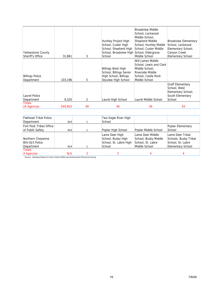| <b>Yellowstone County</b><br><b>Sheriff's Office</b> | 31,861  | 3  | Huntley Project High<br>School, Custer High<br>School, Shepherd High<br>School, Broadview High<br>School | <b>Broadview Middle</b><br>School, Lockwood<br>Middle School,<br><b>Shepherd Middle</b><br>School, Huntley Middle<br>School, Custer Middle<br>School, Eldergrove<br>Middle School | <b>Broadview Elementary</b><br>School, Lockwood<br>Elementary School,<br>Canyon Creek<br><b>Elementary School</b> |
|------------------------------------------------------|---------|----|----------------------------------------------------------------------------------------------------------|-----------------------------------------------------------------------------------------------------------------------------------------------------------------------------------|-------------------------------------------------------------------------------------------------------------------|
|                                                      |         |    |                                                                                                          |                                                                                                                                                                                   |                                                                                                                   |
| <b>Billings Police</b><br>Department                 | 103,196 | 5  | <b>Billings West High</b><br>School, Billings Senior<br>High School, Billings<br>Skyview High School     | Will James Middle<br>School, Lewis and Clark<br>Middle School,<br>Riverside Middle<br>School, Castle Rock<br>Middle School                                                        |                                                                                                                   |
| Laurel Police<br>Department                          | 6,525   | 2  | Laurel High School                                                                                       | Laurel Middle School                                                                                                                                                              | <b>Graff Elementary</b><br>School, West<br>Elementary School,<br>South Elementary<br>School                       |
| <b>Totals</b>                                        |         |    |                                                                                                          |                                                                                                                                                                                   |                                                                                                                   |
| 24 Agencies                                          | 544,903 | 49 | 46                                                                                                       | 46                                                                                                                                                                                | 63                                                                                                                |

| <b>Flathead Tribal Police</b><br>Department              | N/A | Two Eagle River High<br>School                                           |                                                                                |                                                                                            |
|----------------------------------------------------------|-----|--------------------------------------------------------------------------|--------------------------------------------------------------------------------|--------------------------------------------------------------------------------------------|
| Fort Peck Tribes Office<br>of Public Safety              | N/A | Poplar High School                                                       | Poplar Middle School                                                           | Poplar Elementary<br>School                                                                |
| Northern Cheyenne<br><b>BIA-OJS Police</b><br>Department | N/A | Lame Deer High<br>School, Busby High<br>School, St. Labre High<br>School | Lame Deer Middle<br>School, Busby Middle<br>School, St. Labre<br>Middle School | Lame Deer Tribal<br>Schools, Busby Tribal<br>School, St. Labre<br><b>Elementary School</b> |
| Totals<br>4 Agencies                                     | N/A |                                                                          |                                                                                |                                                                                            |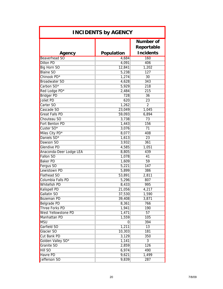| <b>INCIDENTS by AGENCY</b> |                |                                             |  |  |  |
|----------------------------|----------------|---------------------------------------------|--|--|--|
| Agency                     | Population     | Number of<br>Reportable<br><b>Incidents</b> |  |  |  |
| <b>Beaverhead SO</b>       | 4,684          | <b>160</b>                                  |  |  |  |
| <b>Dillon PD</b>           | 4,091          | 406                                         |  |  |  |
| <b>Big Horn SO</b>         | 12,841         | 1,202                                       |  |  |  |
| <b>Blaine SO</b>           | 5,238          | 127                                         |  |  |  |
| Chinook PD*                | 1,274          | 30                                          |  |  |  |
| <b>Broadwater SO</b>       | 4,628          | 343                                         |  |  |  |
| Carbon SO*                 | 5,929          | 218                                         |  |  |  |
| Red Lodge PD*              | 2,484          | 215                                         |  |  |  |
| <b>Bridger PD</b>          | 728            | 36                                          |  |  |  |
| <b>Joliet PD</b>           | 620            | 23                                          |  |  |  |
| Carter SO                  | 1,262          | $\overline{2}$                              |  |  |  |
| Cascade SO                 | 23,049         | 1,045                                       |  |  |  |
| <b>Great Falls PD</b>      | 59,093         | 6,894                                       |  |  |  |
| Chouteau SO                | 3,738          | 73                                          |  |  |  |
| Fort Benton PD             | 1,443          | 156                                         |  |  |  |
| Custer SO*                 | 3,076          | 71                                          |  |  |  |
| Miles City PD*             | 8,077          | 408                                         |  |  |  |
| Daniels SO*                | 1,613          | 23                                          |  |  |  |
| Dawson SO                  | 3,932          | 361                                         |  |  |  |
| <b>Glendive PD</b>         | 4,585          | 1,051                                       |  |  |  |
| Anaconda-Deer Lodge LEA    | 8,805          | 439                                         |  |  |  |
| <b>Fallon SO</b>           | 1,078          | 41                                          |  |  |  |
| <b>Baker PD</b>            | 1,609          | 59                                          |  |  |  |
| Fergus SO                  | 5,221          | 147                                         |  |  |  |
| Lewistown PD               | 5,899          | 386                                         |  |  |  |
| <b>Flathead SO</b>         | 53,891         | 2,811                                       |  |  |  |
| Columbia Falls PD          | 5,296          | 807                                         |  |  |  |
| <b>Whitefish PD</b>        | 8,433          | 995                                         |  |  |  |
| <b>Kalispell PD</b>        | 21,056         | 4,217                                       |  |  |  |
| Gallatin SO                | 37,530         | 1,590                                       |  |  |  |
| <b>Bozeman PD</b>          | 39,408         | 3,871                                       |  |  |  |
| <b>Belgrade PD</b>         | 8,361          | 766                                         |  |  |  |
| <b>Three Forks PD</b>      | 1,941          | 190                                         |  |  |  |
| West Yellowstone PD        | 1,471          | 57                                          |  |  |  |
| Manhattan PD               | 1,559          | 105                                         |  |  |  |
| <b>MSU</b>                 | $\overline{0}$ | 394                                         |  |  |  |
| Garfield SO                | 1,211          | 13                                          |  |  |  |
| Glacier SO                 | 10,303         | 181                                         |  |  |  |
| Cut Bank PD                | 3,129          | 350                                         |  |  |  |
| Golden Valley SO*          | 1,141          | $\overline{3}$                              |  |  |  |
| Granite SO                 | 2,859          | 126                                         |  |  |  |
| <b>Hill SO</b>             | 6,974          | 490                                         |  |  |  |
| <b>Havre PD</b>            | 9,621          | 1,499                                       |  |  |  |
| Jefferson SO               | 9,839          | 287                                         |  |  |  |
|                            |                |                                             |  |  |  |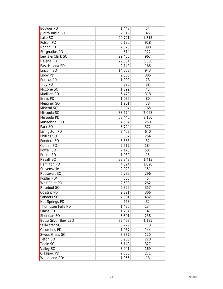| <b>Boulder PD</b>           | 1,443  | 54              |
|-----------------------------|--------|-----------------|
| Judith Basin SO             | 2,019  | 45              |
| Lake SO                     | 20,721 | 1,315           |
| Polson PD                   | 5,170  | 918             |
| <b>Ronan PD</b>             | 2,028  | 398             |
| St Ignatius PD              | 814    | 122             |
| Lewis & Clark SO            | 29,456 | 967             |
| Helena PD                   | 29,054 | 3,360           |
| East Helena PD              | 2,149  | 166             |
| Lincoln SO                  | 14,053 | 943             |
| Libby PD                    | 2,886  | 306             |
| Eureka PD                   | 1,009  | 78              |
| <b>Troy PD</b>              | 985    | 38              |
| McCone SO                   | 1,699  | 42              |
| Madison SO                  | 6,478  | 318             |
| <b>Ennis PD</b>             | 1,036  | 80              |
| Meagher SO                  | 1,901  | 78              |
| Mineral SO                  | 3,904  | 165             |
| Missoula SO                 | 38,674 | 2,068           |
| Missoula PD                 | 68,445 | 8,160           |
| Musselshell SO              | 4,504  | 250             |
| Park SO                     | 8,724  | 372             |
| Livingston PD               | 7,457  | 640             |
| <b>Phillips SO</b>          | 3,887  | 254             |
| Pondera SO                  | 3,386  | 52              |
| <b>Conrad PD</b>            | 2,517  | 184             |
| Powell SO                   | 7,126  | 587             |
| Prairie SO                  | 1,030  | 15              |
| Ravalli SO                  | 33,348 | 1,413           |
| <b>Hamilton PD</b>          | 4,824  | 1,020           |
| Stevensville                | 2,023  | 151             |
| <b>Roosevelt SO</b>         | 6,739  | 296             |
| Poplar PD*                  | 866    | 5               |
| <b>Wolf Point PD</b>        | 2,508  | 262             |
| Rosebud SO                  | 6,855  | 357             |
| <b>Colstrip PD</b>          | 2,321  | 306             |
| Sanders SO                  | 7,901  | 432             |
| <b>Hot Springs PD</b>       | 568    | $\overline{32}$ |
| Thompson Falls PD           | 1,436  | 134             |
| Plains PD                   | 1,254  | 147             |
| Sheridan SO                 | 3,301  | 258             |
| <b>Butte-Silver Bow LED</b> | 32,493 | 4,185           |
| Stillwater SO               | 6,779  | 173             |
| <b>Columbus PD</b>          | 1,957  | 144             |
| Sweet Grass SO              | 3,837  | 120             |
| <b>Teton SO</b>             | 5,985  | 228             |
| <b>Toole SO</b>             | 5,140  | 327             |
| <b>Valley SO</b>            | 3,941  | 169             |
| <b>Glasgow PD</b>           | 2,885  | 271             |
| Wheatland SO*               | 1,956  | 18              |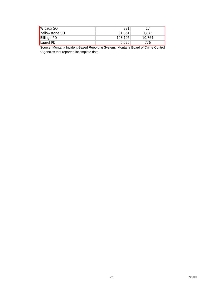| <b>Wibaux SO</b>   | 881     |        |
|--------------------|---------|--------|
| Yellowstone SO     | 31,861  | 1,873  |
| <b>Billings PD</b> | 103,196 | 10.764 |
| <b>ILaurel PD</b>  | 6.525   | 76     |

Source: Montana Incident-Based Reporting System. Montana Board of Crime Control \*Agencies that reported incomplete data.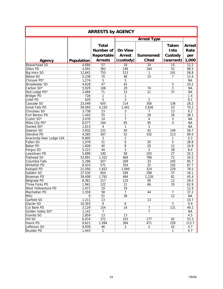| <b>ARRESTS by AGENCY</b> |                |                                                |                                 |                 |                          |                              |  |
|--------------------------|----------------|------------------------------------------------|---------------------------------|-----------------|--------------------------|------------------------------|--|
|                          |                |                                                | <b>Arrest Type</b>              |                 |                          |                              |  |
|                          |                | <b>Total</b><br><b>Number of</b><br>Reportable | <b>On View</b><br><b>Arrest</b> | Summoned/       | Taken<br>Into<br>Custody | <b>Arrest</b><br>Rate<br>per |  |
| Agency                   | Population     | <b>Arrests</b>                                 | (custody)                       | <b>Cited</b>    | (warrant)                | 1,000                        |  |
| <b>Beaverhead SO</b>     | 4,684          | $\overline{57}$                                | $\overline{18}$                 | $\overline{24}$ | 15                       | 12.2                         |  |
| <b>Dillon PD</b>         | 4,091          | 362                                            | 146                             | 164             | 52                       | 88.5                         |  |
| Big Horn SO              | 12,841         | 755                                            | 513                             | 1               | 241                      | 58.8                         |  |
| <b>Blaine SO</b>         | 5,238          | 70                                             | 48                              | 15              | 7                        | 13.4                         |  |
| Chinook PD*              | 1,274          | 5                                              | 5                               |                 |                          | <b>NA</b>                    |  |
| <b>Broadwater SO</b>     | 4,628          | 47                                             | 42                              |                 | 5                        | 10.2                         |  |
| Carbon SO*               | 5,929          | 106                                            | 29                              | 74              | 3                        | <b>NA</b>                    |  |
| Red Lodge PD*            | 2,484          | 71                                             | 13                              | 21              | 37                       | <b>NA</b>                    |  |
| <b>Bridger PD</b>        | 728            | 1                                              | $\mathbf{1}$                    |                 |                          | 1.4                          |  |
| Joliet PD                | 620            | 5                                              | 3                               | $\overline{2}$  |                          | 8.1                          |  |
| Cascade SO               | 23,049         | 650                                            | 214                             | 300             | 136                      | 28.2                         |  |
| <b>Great Falls PD</b>    | 59,093         | 4,150                                          | 1,441                           | 2,656           | 53                       | 70.2                         |  |
| Chouteau SO              | 3,738          | 23                                             | 3                               | 7               | 13                       | 6.2                          |  |
| Fort Benton PD           | 1,443          | 55                                             | 1                               | 28              | 26                       | 38.1                         |  |
| Custer SO <sup>*</sup>   | 3,076          | 14                                             | $\overline{7}$                  | 4               | $\overline{3}$           | <b>NA</b>                    |  |
| Miles City PD*           | 8,077          | 164                                            | 65                              | 95              | 4                        | <b>NA</b>                    |  |
| Daniels SO*              | 1,613          | 4                                              | 1                               | $\overline{3}$  |                          | <b>NA</b>                    |  |
| Dawson SO                | 3,932          | 231                                            | 40                              | 42              | 149                      | 58.7                         |  |
| <b>Glendive PD</b>       | 4,585          | 367                                            | 52                              | 102             | 213                      | 80.0                         |  |
| Anaconda-Deer Lodge LEA  | 8,805          | 3                                              | 2                               |                 | 1                        | 0.3                          |  |
| <b>Fallon SO</b>         | 1,078          | 31                                             | 6                               | 20              | 5                        | 28.8                         |  |
| <b>Baker PD</b>          | 1,609          | 40                                             | 8                               | 20              | 12                       | 24.9                         |  |
| Fergus SO                | 5,221          | 44                                             | 3                               | 3               | 38                       | 8.4                          |  |
| Lewistown PD             | 5,899          | 190                                            | 58                              | 105             | 27                       | 32.2                         |  |
| Flathead SO              | 53,891         | 1,322                                          | 464                             | 786             | 72                       | 24.5                         |  |
| Columbia Falls           | 5,296          | 507                                            | 269                             | 33              | 205                      | 95.7                         |  |
| <b>Whitefish PD</b>      | 8,433          | 571                                            | 354                             | 25              | 192                      | 67.7                         |  |
| Kalispell PD             | 21,056         | 1,652                                          | 1,099                           | 324             | 229                      | 78.5                         |  |
| Gallatin SO              | 37,530         | 604                                            | 269                             | 298             | 37                       | 16.1                         |  |
| Bozeman PD               | 39,408         | 1,791                                          | 484                             | 1,226           | 81                       | 45.4                         |  |
| Belgrade PD              | 8,361          | 217                                            | 110                             | 95              | 12                       | 26.0                         |  |
| Three Forks PD           | 1,941          | 122                                            | $\overline{21}$                 | 66              | 35                       | 62.9                         |  |
| West Yellowstone PD      |                | 19                                             | 19                              |                 |                          |                              |  |
| Manhattan PD             | 1,471<br>1,559 |                                                | $\overline{7}$                  | 44              | $\overline{7}$           | 12.9                         |  |
| MSU                      | $\overline{0}$ | 58<br>51                                       | 39                              |                 | 12                       | 37.2<br><b>NA</b>            |  |
|                          |                |                                                |                                 |                 |                          |                              |  |
| Garfield SO              | 1,211          | 13                                             |                                 | 13              |                          | 10.7                         |  |
| Glacier SO               | 10,303         | 9                                              | 6                               |                 | 3                        | 0.9                          |  |
| Cut Bank PD              | 3,129          | 154                                            | 16                              | $\overline{7}$  | 131                      | 49.2                         |  |
| Golden Valley SO*        | 1,141          | $\overline{7}$                                 |                                 | $\overline{7}$  |                          | NА                           |  |
| Granite SO               | 2,859          | 13                                             | 13                              |                 |                          | 4.5                          |  |
| <b>Hill SO</b>           | 6,974          | 372                                            | 103                             | 177             | 92                       | 53.3                         |  |
| Havre PD                 | 9,621          | 1,094                                          | 364                             | 471             | 259                      | 113.7                        |  |
| Jefferson SO             | 9,839          | 46                                             | $\overline{2}$                  | $\overline{2}$  | 42                       | 4.7                          |  |
| <b>Boulder PD</b>        | 1,443          | $\overline{1}$                                 |                                 |                 | $\mathbf{1}$             | 0.7                          |  |